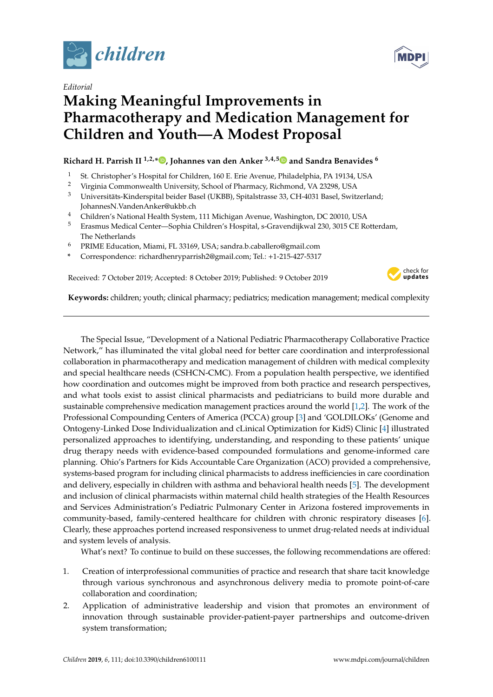

*Editorial*

## **Making Meaningful Improvements in Pharmacotherapy and Medication Management for Children and Youth—A Modest Proposal**

## **Richard H. Parrish II 1,2,[\\*](https://orcid.org/0000-0003-0571-7492) , Johannes van den Anker 3,4,[5](https://orcid.org/0000-0003-0571-7492) and Sandra Benavides <sup>6</sup>**

- <sup>1</sup> St. Christopher's Hospital for Children, 160 E. Erie Avenue, Philadelphia, PA 19134, USA<br><sup>2</sup> Virginia Commonwealth University School of Pharmagy Bichmond, VA 22208, USA
- <sup>2</sup> Virginia Commonwealth University, School of Pharmacy, Richmond, VA 23298, USA
- <sup>3</sup> Universitäts-Kinderspital beider Basel (UKBB), Spitalstrasse 33, CH-4031 Basel, Switzerland; JohannesN.VandenAnker@ukbb.ch
- <sup>4</sup> Children's National Health System, 111 Michigan Avenue, Washington, DC 20010, USA
- <sup>5</sup> Erasmus Medical Center—Sophia Children's Hospital, s-Gravendijkwal 230, 3015 CE Rotterdam, The Netherlands
- <sup>6</sup> PRIME Education, Miami, FL 33169, USA; sandra.b.caballero@gmail.com
- **\*** Correspondence: richardhenryparrish2@gmail.com; Tel.: +1-215-427-5317

Received: 7 October 2019; Accepted: 8 October 2019; Published: 9 October 2019



**Keywords:** children; youth; clinical pharmacy; pediatrics; medication management; medical complexity

The Special Issue, "Development of a National Pediatric Pharmacotherapy Collaborative Practice Network," has illuminated the vital global need for better care coordination and interprofessional collaboration in pharmacotherapy and medication management of children with medical complexity and special healthcare needs (CSHCN-CMC). From a population health perspective, we identified how coordination and outcomes might be improved from both practice and research perspectives, and what tools exist to assist clinical pharmacists and pediatricians to build more durable and sustainable comprehensive medication management practices around the world [\[1](#page-1-0)[,2\]](#page-1-1). The work of the Professional Compounding Centers of America (PCCA) group [\[3\]](#page-1-2) and 'GOLDILOKs' (Genome and Ontogeny-Linked Dose Individualization and cLinical Optimization for KidS) Clinic [\[4\]](#page-1-3) illustrated personalized approaches to identifying, understanding, and responding to these patients' unique drug therapy needs with evidence-based compounded formulations and genome-informed care planning. Ohio's Partners for Kids Accountable Care Organization (ACO) provided a comprehensive, systems-based program for including clinical pharmacists to address inefficiencies in care coordination and delivery, especially in children with asthma and behavioral health needs [\[5\]](#page-1-4). The development and inclusion of clinical pharmacists within maternal child health strategies of the Health Resources and Services Administration's Pediatric Pulmonary Center in Arizona fostered improvements in community-based, family-centered healthcare for children with chronic respiratory diseases [\[6\]](#page-1-5). Clearly, these approaches portend increased responsiveness to unmet drug-related needs at individual and system levels of analysis.

What's next? To continue to build on these successes, the following recommendations are offered:

- 1. Creation of interprofessional communities of practice and research that share tacit knowledge through various synchronous and asynchronous delivery media to promote point-of-care collaboration and coordination;
- 2. Application of administrative leadership and vision that promotes an environment of innovation through sustainable provider-patient-payer partnerships and outcome-driven system transformation;